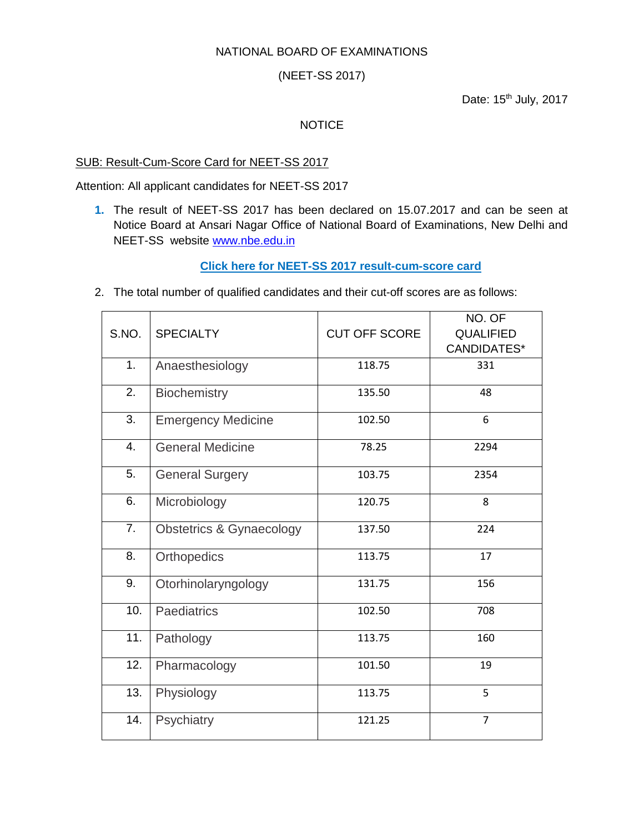## NATIONAL BOARD OF EXAMINATIONS

(NEET-SS 2017)

Date: 15<sup>th</sup> July, 2017

## **NOTICE**

## SUB: Result-Cum-Score Card for NEET-SS 2017

Attention: All applicant candidates for NEET-SS 2017

**1.** The result of NEET-SS 2017 has been declared on 15.07.2017 and can be seen at Notice Board at Ansari Nagar Office of National Board of Examinations, New Delhi and NEET-SS website [www.nbe.edu.in](http://www.nbe.edu.in/)

## **Click here for NEET-SS [2017 result-cum-score card](http://neetss.nbe.gov.in/)**

2. The total number of qualified candidates and their cut-off scores are as follows:

| S.NO. | <b>SPECIALTY</b>                    | <b>CUT OFF SCORE</b> | NO. OF<br><b>QUALIFIED</b> |
|-------|-------------------------------------|----------------------|----------------------------|
|       |                                     |                      | <b>CANDIDATES*</b>         |
| 1.    | Anaesthesiology                     | 118.75               | 331                        |
| 2.    | Biochemistry                        | 135.50               | 48                         |
| 3.    | <b>Emergency Medicine</b>           | 102.50               | 6                          |
| 4.    | <b>General Medicine</b>             | 78.25                | 2294                       |
| 5.    | <b>General Surgery</b>              | 103.75               | 2354                       |
| 6.    | Microbiology                        | 120.75               | 8                          |
| 7.    | <b>Obstetrics &amp; Gynaecology</b> | 137.50               | 224                        |
| 8.    | Orthopedics                         | 113.75               | 17                         |
| 9.    | Otorhinolaryngology                 | 131.75               | 156                        |
| 10.   | Paediatrics                         | 102.50               | 708                        |
| 11.   | Pathology                           | 113.75               | 160                        |
| 12.   | Pharmacology                        | 101.50               | 19                         |
| 13.   | Physiology                          | 113.75               | 5                          |
| 14.   | Psychiatry                          | 121.25               | $\overline{7}$             |